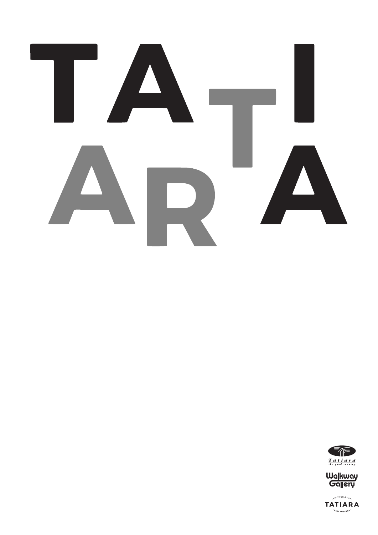



Wa|kway<br>Ga||ery

VISIT FOR A DAR **TATIARA** "STAY FOREVER"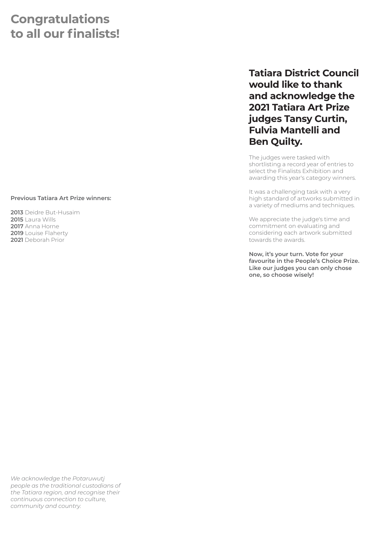### **Congratulations to all our finalists!**

#### **Previous Tatiara Art Prize winners:**

Deidre But-Husaim Laura Wills Anna Horne Louise Flaherty Deborah Prior

#### **Tatiara District Council would like to thank and acknowledge the 2021 Tatiara Art Prize judges Tansy Curtin, Fulvia Mantelli and Ben Quilty.**

The judges were tasked with shortlisting a record year of entries to select the Finalists Exhibition and awarding this year's category winners.

It was a challenging task with a very high standard of artworks submitted in a variety of mediums and techniques.

We appreciate the judge's time and commitment on evaluating and considering each artwork submitted towards the awards.

**Now, it's your turn. Vote for your favourite in the People's Choice Prize. Like our judges you can only chose one, so choose wisely!**

*We acknowledge the Potaruwutj people as the traditional custodians of the Tatiara region, and recognise their continuous connection to culture, community and country.*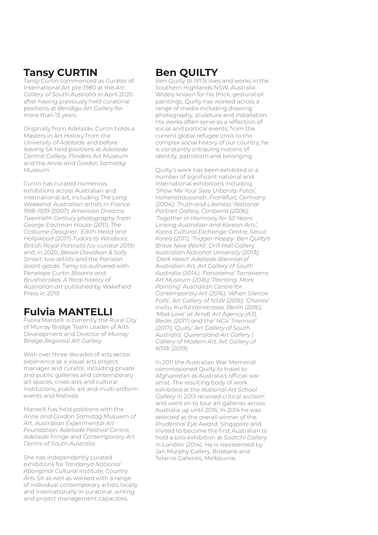#### **Tansy CURTIN**

Tansy Curtin commenced as Curator of International Art pre-1980 at the *Art Gallery of South Australia* in April 2020 after having previously held curatorial positions at *Bendigo Art Gallery* for more than 13 years.

Originally from Adelaide, Curtin holds a Masters in Art History from the *University of Adelaide* and before leaving SA held positions at *Adelaide Central Gallery, Flinders Art Museum* and the *Anne and Gordon Samstag Museum*.

Curtin has curated numerous exhibitions across Australian and international art, including *The Long Weekend: Australian artists in France 1918–1939 (2007), American Dreams: Twentieth Century photography from George Eastman House (2011), The Costume Designer: Edith Head and Hollywood (2017) Tudors to Windsors: British Royal Portraits (co-curator 2019)* and, in 2020, *Bessie Davidson & Sally Smart: two artists and the Parisian avant-garde*. Tansy co-authored with Penelope Curtin *Blooms and Brushstrokes: A floral history of Australian art* published by Wakefield Press in 2019.

### **Fulvia MANTELLI**

Fulvia Mantelli is currently the Rural City of Murray Bridge Team Leader of Arts Development and Director of *Murray Bridge Regional Art Gallery*.

With over three decades of arts sector experience as a visual arts project manager and curator, including private and public galleries and contemporary art spaces, cross-arts and cultural institutions, public art and multi-artform events and festivals.

Mantelli has held positions with the *Anne and Gordon Samstag Musuem of Art, Australian Experimental Art Foundation, Adelaide Festival Centre, Adelaide Fringe* and *Contemporary Art Centre of South Australia*.

She has independently curated exhibitions for *Tandanya National Aboriginal Cultural Institute, Country Arts SA* as well as worked with a range of individual contemporary artists locally and internationally in curatorial, writing and project management capacities.

#### **Ben QUILTY**

Ben Quilty (b.1973) lives and works in the Southern Highlands NSW, Australia. Widely known for his thick, gestural oil paintings, Quilty has worked across a range of media including drawing, photography, sculpture and installation. His works often serve as a reflection of social and political events; from the current global refugee crisis to the complex social history of our country, he is constantly critiquing notions of identity, patriotism and belonging.

Quilty's work has been exhibited in a number of significant national and international exhibitions including *'Show Me Your Sexy Urbanity Fotos', Hohenstrausenstr, Frankfurt, Germany (2004); 'Truth and Likeness' National Portrait Gallery, Canberra (2006); 'Together in Harmony for 50 Years: Linking Australian and Korean Arts', Korea Cultural Exchange Centre, Seoul, Korea (2011); 'Trigger-Happy: Ben Quilty's Brave New World', Drill Hall Gallery Australian National University (2013); 'Dark Heart' Adelaide Biennial of Australian Art, Art Gallery of South Australia (2014); 'Panorama' Tarrawarra Art Museum (2016); 'Painting. More Painting' Australian Centre for Contemporary Art (2016); 'When Silence Falls', Art Gallery of NSW (2016); 'Charles' Insitu, Kurfurstenstrasse, Berlin (2016); 'Mad Love' at Arndt Art Agency (A3), Berlin (2017) and the' NGV Triennial' (2017); 'Quilty' Art Gallery of South Australia, Queensland Art Gallery | Gallery of Modern Art, Art Gallery of NSW (2019)*.

In 2011 the Australian War Memorial commissioned Quilty to travel to Afghanistan as Australia's official war artist. The resulting body of work exhibited at the *National Art School Gallery* in 2013 received critical acclaim and went on to tour art galleries across Australia up until 2016. In 2014 he was selected as the overall winner of the *Prudential Eye Award*, Singapore and invited to become the first Australian to hold a solo exhibition at *Saatchi Gallery*  in London (2014). He is represented by Jan Murphy Gallery, Brisbane and Tolarno Galleries, Melbourne.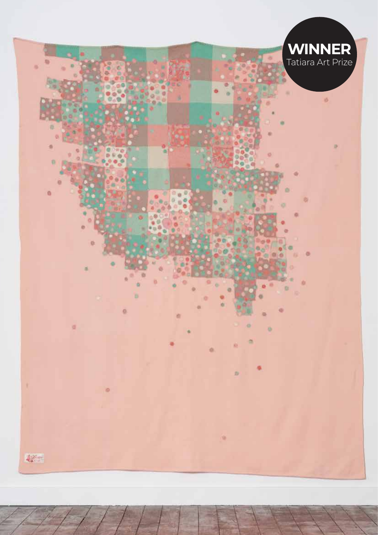

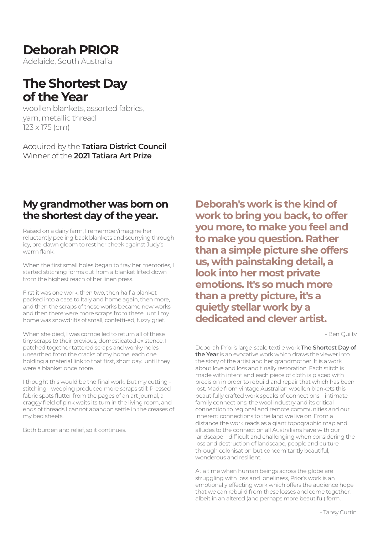### **Deborah PRIOR**

Adelaide, South Australia

### **The Shortest Day of the Year**

woollen blankets, assorted fabrics, yarn, metallic thread 123 x 175 (cm)

Acquired by the **Tatiara District Council** Winner of the **2021 Tatiara Art Prize**

#### **My grandmother was born on the shortest day of the year.**

Raised on a dairy farm, I remember/imagine her reluctantly peeling back blankets and scurrying through icy, pre-dawn gloom to rest her cheek against Judy's warm flank.

When the first small holes began to fray her memories, I started stitching forms cut from a blanket lifted down from the highest reach of her linen press.

First it was one work, then two, then half a blanket packed into a case to Italy and home again, then more, and then the scraps of those works became new works and then there were more scraps from these…until my home was snowdrifts of small, confetti-ed, fuzzy grief.

When she died, I was compelled to return all of these tiny scraps to their previous, domesticated existence. I patched together tattered scraps and wonky holes unearthed from the cracks of my home, each one holding a material link to that first, short day…until they were a blanket once more.

I thought this would be the final work. But my cutting stitching - weeping produced more scraps still: Pressed fabric spots flutter from the pages of an art journal, a craggy field of pink waits its turn in the living room, and ends of threads I cannot abandon settle in the creases of my bed sheets.

Both burden and relief, so it continues.

**Deborah's work is the kind of work to bring you back, to offer you more, to make you feel and to make you question. Rather than a simple picture she offers us, with painstaking detail, a look into her most private emotions. It's so much more than a pretty picture, it's a quietly stellar work by a dedicated and clever artist.**

- Ben Quilty

Deborah Prior's large-scale textile work **The Shortest Day of the Year** is an evocative work which draws the viewer into the story of the artist and her grandmother. It is a work about love and loss and finally restoration. Each stitch is made with intent and each piece of cloth is placed with precision in order to rebuild and repair that which has been lost. Made from vintage Australian woollen blankets this beautifully crafted work speaks of connections – intimate family connections; the wool industry and its critical connection to regional and remote communities and our inherent connections to the land we live on. From a distance the work reads as a giant topographic map and alludes to the connection all Australians have with our landscape – difficult and challenging when considering the loss and destruction of landscape, people and culture through colonisation but concomitantly beautiful, wonderous and resilient.

At a time when human beings across the globe are struggling with loss and loneliness, Prior's work is an emotionally effecting work which offers the audience hope that we can rebuild from these losses and come together, albeit in an altered (and perhaps more beautiful) form.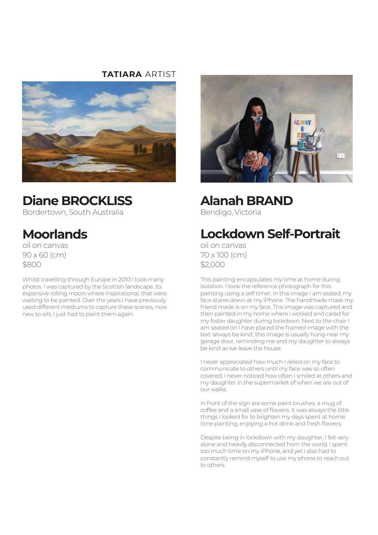#### **TATIARA** ARTIST



### **Diane BROCKLISS**

Bordertown, South Australia

## **Moorlands**

oil on canvas 90 x 60 (cm) \$800

Whilst travelling through Europe in 2010 I took many photos. I was captured by the Scottish landscape. Its expansive rolling moors where inspirational, that were waiting to be painted. Over the years I have previously used different mediums to capture these scenes, now new to oils, I just had to paint them again.



**Alanah BRAND** Bendigo, Victoria

## **Lockdown Self-Portrait**

oil on canvas 70 x 100 (cm) \$2,000

This painting encapsulates my time at home during isolation. I took the reference photograph for this painting using a self timer. In this image I am seated, my face stares down at my iPhone. The handmade mask my friend made is on my face. This image was captured and then painted in my home where i worked and cared for my foster daughter during lockdown. Next to the chair I am seated on I have placed the framed image with the text 'always be kind', this image is usually hung near my garage door, reminding me and my daughter to always be kind as we leave the house.

I never appreciated how much I relied on my face to communicate to others until my face was so often covered, I never noticed how often I smiled at others and my daughter in the supermarket of when we are out of our walks.

In front of the sign are some paint brushes, a mug of coffee and a small vase of flowers. It was always the little things I looked for to brighten my days spent at home; time painting, enjoying a hot drink and fresh flowers.

Despite being in lockdown with my daughter, I felt very alone and heavily disconnected from the world. I spent too much time on my iPhone, and yet I also had to constantly remind myself to use my phone to reach out to others.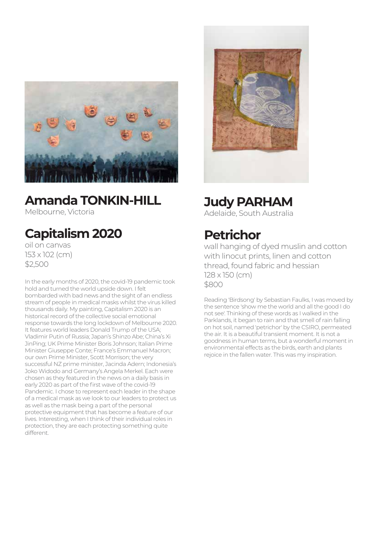

### **Amanda TONKIN-HILL**

Melbourne, Victoria

## **Capitalism 2020**

oil on canvas 153 x 102 (cm) \$2,500

In the early months of 2020, the covid-19 pandemic took hold and turned the world upside down. I felt bombarded with bad news and the sight of an endless stream of people in medical masks whilst the virus killed thousands daily. My painting, Capitalism 2020 is an historical record of the collective social emotional response towards the long lockdown of Melbourne 2020. It features world leaders Donald Trump of the USA; Vladimir Putin of Russia; Japan's Shinzo Abe; China's Xi JinPing; UK Prime Minister Boris Johnson; Italian Prime Minister Giuseppe Conte; France's Emmanuel Macron; our own Prime Minister, Scott Morrison; the very successful NZ prime minister, Jacinda Adern; Indonesia's Joko Widodo and Germany's Angela Merkel. Each were chosen as they featured in the news on a daily basis in early 2020 as part of the first wave of the covid-19 Pandemic. I chose to represent each leader in the shape of a medical mask as we look to our leaders to protect us as well as the mask being a part of the personal protective equipment that has become a feature of our lives. Interesting, when I think of their individual roles in protection, they are each protecting something quite different.



## **Judy PARHAM**

Adelaide, South Australia

## **Petrichor**

wall hanging of dyed muslin and cotton with linocut prints, linen and cotton thread, found fabric and hessian 128 x 150 (cm) \$800

Reading 'Birdsong' by Sebastian Faulks, I was moved by the sentence 'show me the world and all the good I do not see'. Thinking of these words as I walked in the Parklands, it began to rain and that smell of rain falling on hot soil, named 'petrichor' by the CSIRO, permeated the air. It is a beautiful transient moment. It is not a goodness in human terms, but a wonderful moment in environmental effects as the birds, earth and plants rejoice in the fallen water. This was my inspiration.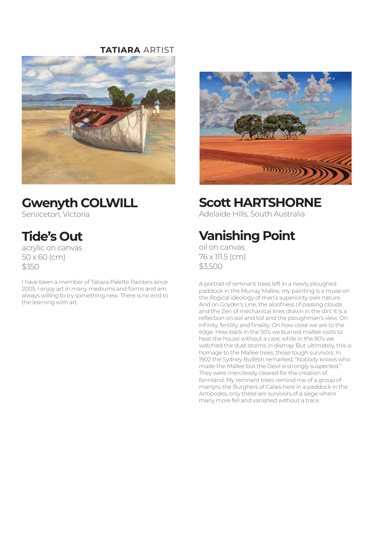#### **TATIARA** ARTIST





### **Gwenyth COLWILL**

Serviceton, Victoria

## **Tide's Out**

acrylic on canvas 50 x 60 (cm) \$350

I have been a member of Tatiara Palette Painters since 2005. I enjoy art in many mediums and forms and am always willing to try something new. There is no end to the learning with art.

#### **Scott HARTSHORNE**

Adelaide Hills, South Australia

## **Vanishing Point**

oil on canvas 76 x 111.5 (cm) \$3,500

A portrait of remnant trees left in a newly ploughed paddock in the Murray Mallee, my painting is a muse on the illogical ideology of man's superiority over nature. And on Goyder's Line, the aloofness of passing clouds and the Zen of mechanical lines drawn in the dirt. It is a reflection on soil and toil and the ploughman's view. On infinity, fertility and finality. On how close we are to the edge. How back in the 50's we burned mallee roots to heat the house without a care, while in the 80's we watched the dust storms in dismay. But ultimately, this is homage to the Mallee trees, those tough survivors. In 1902 the Sydney Bulletin remarked, "Nobody knows who made the Mallee but the Devil is strongly suspected." They were mercilessly cleared for the creation of farmland. My remnant trees remind me of a group of martyrs, the Burghers of Calais here in a paddock in the Antipodes, only these are survivors of a siege where many more fell and vanished without a trace.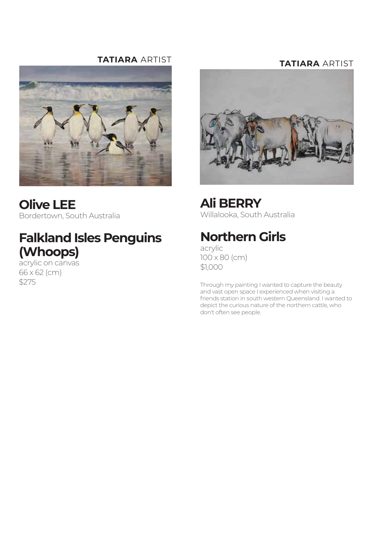#### **TATIARA** ARTIST



**Olive LEE** Bordertown, South Australia

### **Falkland Isles Penguins (Whoops)**

acrylic on canvas 66 x 62 (cm) \$275

#### **TATIARA** ARTIST



**Ali BERRY** Willalooka, South Australia

### **Northern Girls**

acrylic 100 x 80 (cm) \$1,000

Through my painting I wanted to capture the beauty and vast open space I experienced when visiting a friends station in south western Queensland. I wanted to depict the curious nature of the northern cattle, who don't often see people.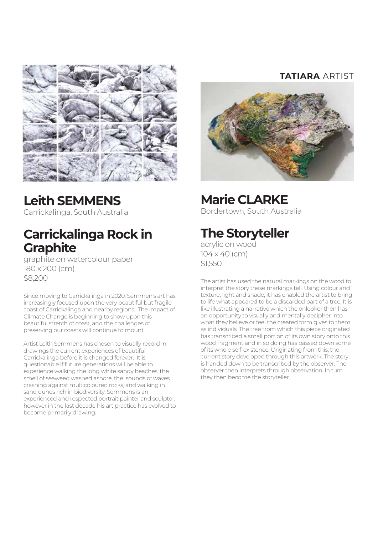

## **Leith SEMMENS**

Carrickalinga, South Australia

### **Carrickalinga Rock in Graphite**

graphite on watercolour paper 180 x 200 (cm) \$8,200

Since moving to Carrickalinga in 2020, Semmen's art has increasingly focused upon the very beautiful but fragile coast of Carrickalinga and nearby regions. The impact of Climate Change is beginning to show upon this beautiful stretch of coast, and the challenges of preserving our coasts will continue to mount.

Artist Leith Semmens has chosen to visually record in drawings the current experiences of beautiful Carrickalinga before it is changed forever. It is questionable if future generations will be able to experience walking the long white sandy beaches, the smell of seaweed washed ashore, the sounds of waves crashing against multicoloured rocks, and walking in sand dunes rich in biodiversity. Semmens is an experienced and respected portrait painter and sculptor, however in the last decade his art practice has evolved to become primarily drawing.

#### **TATIARA** ARTIST



### **Marie CLARKE**

Bordertown, South Australia

## **The Storyteller**

acrylic on wood 104 x 40 (cm) \$1,550

The artist has used the natural markings on the wood to interpret the story these markings tell. Using colour and texture, light and shade, it has enabled the artist to bring to life what appeared to be a discarded part of a tree. It is like illustrating a narrative which the onlooker then has an opportunity to visually and mentally decipher into what they believe or feel the created form gives to them as individuals. The tree from which this piece originated has transcribed a small portion of its own story onto this wood fragment and in so doing has passed down some of its whole self-existence. Originating from this, the current story developed through this artwork. The story is handed down to be transcribed by the observer. The observer then interprets through observation. In turn they then become the storyteller.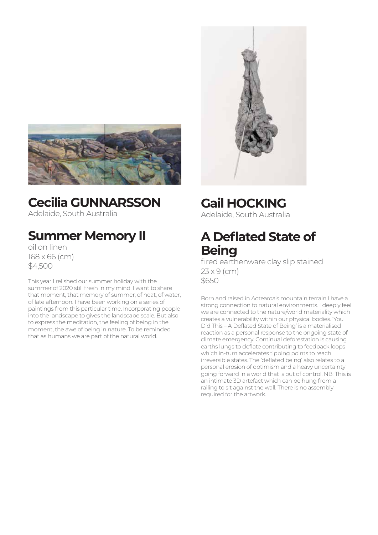

# **Cecilia GUNNARSSON**

Adelaide, South Australia

## **Summer Memory II**

oil on linen 168 x 66 (cm) \$4,500

This year I relished our summer holiday with the summer of 2020 still fresh in my mind. I want to share that moment, that memory of summer, of heat, of water, of late afternoon. I have been working on a series of paintings from this particular time. Incorporating people into the landscape to gives the landscape scale. But also to express the meditation, the feeling of being in the moment, the awe of being in nature. To be reminded that as humans we are part of the natural world.

### **Gail HOCKING**

Adelaide, South Australia

### **A Deflated State of Being**

fired earthenware clay slip stained 23 x 9 (cm) \$650

Born and raised in Aotearoa's mountain terrain I have a strong connection to natural environments. I deeply feel we are connected to the nature/world materiality which creates a vulnerability within our physical bodies. 'You Did This – A Deflated State of Being' is a materialised reaction as a personal response to the ongoing state of climate emergency. Continual deforestation is causing earths lungs to deflate contributing to feedback loops which in-turn accelerates tipping points to reach irreversible states. The 'deflated being' also relates to a personal erosion of optimism and a heavy uncertainty going forward in a world that is out of control. NB: This is an intimate 3D artefact which can be hung from a railing to sit against the wall. There is no assembly required for the artwork.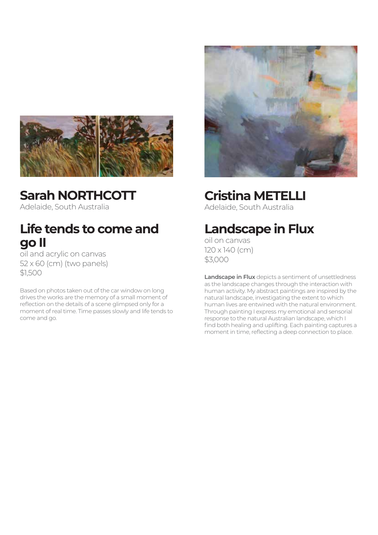

**Sarah NORTHCOTT** Adelaide, South Australia

### **Life tends to come and go II**

oil and acrylic on canvas 52 x 60 (cm) (two panels) \$1,500

Based on photos taken out of the car window on long drives the works are the memory of a small moment of reflection on the details of a scene glimpsed only for a moment of real time. Time passes slowly and life tends to come and go.



### **Cristina METELLI**

Adelaide, South Australia

### **Landscape in Flux**

oil on canvas 120 x 140 (cm) \$3,000

**Landscape in Flux** depicts a sentiment of unsettledness as the landscape changes through the interaction with human activity. My abstract paintings are inspired by the natural landscape, investigating the extent to which human lives are entwined with the natural environment. Through painting I express my emotional and sensorial response to the natural Australian landscape, which I find both healing and uplifting. Each painting captures a moment in time, reflecting a deep connection to place.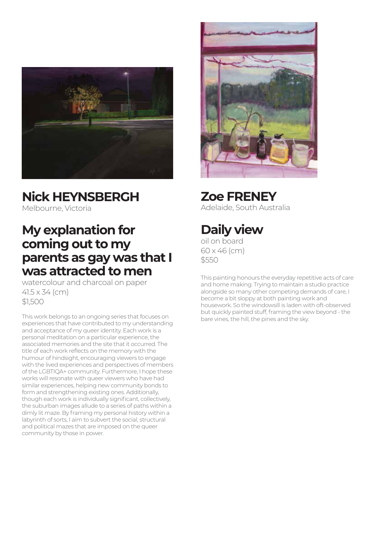

### **Nick HEYNSBERGH**

Melbourne, Victoria

### **My explanation for coming out to my parents as gay was that I was attracted to men**

watercolour and charcoal on paper 41.5 x 34 (cm) \$1,500

This work belongs to an ongoing series that focuses on experiences that have contributed to my understanding and acceptance of my queer identity. Each work is a personal meditation on a particular experience, the associated memories and the site that it occurred. The title of each work reflects on the memory with the humour of hindsight, encouraging viewers to engage with the lived experiences and perspectives of members of the LGBTIQA+ community. Furthermore, I hope these works will resonate with queer viewers who have had similar experiences, helping new community bonds to form and strengthening existing ones. Additionally, though each work is individually significant, collectively, the suburban images allude to a series of paths within a dimly lit maze. By framing my personal history within a labyrinth of sorts, I aim to subvert the social, structural and political mazes that are imposed on the queer community by those in power.



**Zoe FRENEY** Adelaide, South Australia

## **Daily view**

oil on board 60 x 46 (cm) \$550

This painting honours the everyday repetitive acts of care and home making. Trying to maintain a studio practice alongside so many other competing demands of care, I become a bit sloppy at both painting work and housework. So the windowsill is laden with oft-observed but quickly painted stuff, framing the view beyond - the bare vines, the hill, the pines and the sky.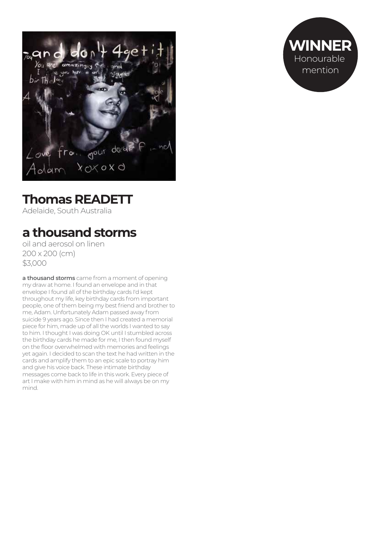

## **Thomas READETT**

Adelaide, South Australia

## **a thousand storms**

oil and aerosol on linen 200 x 200 (cm) \$3,000

**a thousand storms** came from a moment of opening my draw at home. I found an envelope and in that envelope I found all of the birthday cards I'd kept throughout my life, key birthday cards from important people, one of them being my best friend and brother to me, Adam. Unfortunately Adam passed away from suicide 9 years ago. Since then I had created a memorial piece for him, made up of all the worlds I wanted to say to him. I thought I was doing OK until I stumbled across the birthday cards he made for me, I then found myself on the floor overwhelmed with memories and feelings yet again. I decided to scan the text he had written in the cards and amplify them to an epic scale to portray him and give his voice back. These intimate birthday messages come back to life in this work. Every piece of art I make with him in mind as he will always be on my mind.

**WINNER** Honourable mention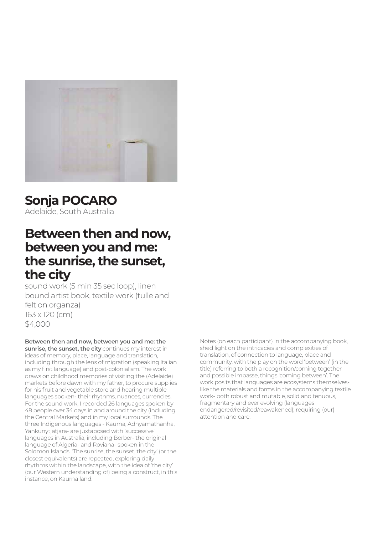

### **Sonja POCARO**

Adelaide, South Australia

### **Between then and now, between you and me: the sunrise, the sunset, the city**

sound work (5 min 35 sec loop), linen bound artist book, textile work (tulle and felt on organza) 163 x 120 (cm) \$4,000

#### **Between then and now, between you and me: the**

**sunrise, the sunset, the city** continues my interest in ideas of memory, place, language and translation, including through the lens of migration (speaking Italian as my first language) and post-colonialism. The work draws on childhood memories of visiting the (Adelaide) markets before dawn with my father, to procure supplies for his fruit and vegetable store and hearing multiple languages spoken- their rhythms, nuances, currencies. For the sound work, I recorded 26 languages spoken by 48 people over 34 days in and around the city (including the Central Markets) and in my local surrounds. The three Indigenous languages - Kaurna, Adnyamathanha, Yankunytjatjara- are juxtaposed with 'successive' languages in Australia, including Berber- the original language of Algeria- and Roviana- spoken in the Solomon Islands. 'The sunrise, the sunset, the city' (or the closest equivalents) are repeated, exploring daily rhythms within the landscape, with the idea of 'the city' (our Western understanding of) being a construct, in this instance, on Kaurna land.

Notes (on each participant) in the accompanying book, shed light on the intricacies and complexities of translation, of connection to language, place and community, with the play on the word 'between' (in the title) referring to both a recognition/coming together and possible impasse, things 'coming between'. The work posits that languages are ecosystems themselveslike the materials and forms in the accompanying textile work- both robust and mutable, solid and tenuous, fragmentary and ever evolving (languages endangered/revisited/reawakened); requiring (our) attention and care.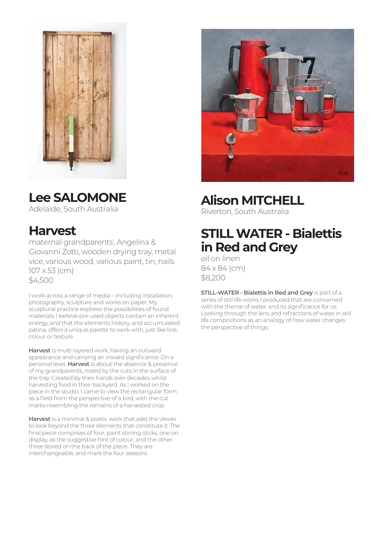

# **Lee SALOMONE**

Adelaide, South Australia

### **Harvest**

maternal grandparents', Angelina & Giovanni Zotti, wooden drying tray, metal vice, various wood, various paint, tin, nails 107 x 53 (cm) \$4,500

I work across a range of media – including installation, photography, sculpture and works on paper. My sculptural practice explores the possibilities of found materials: I believe pre-used objects contain an inherent energy, and that the elements history, and accumulated patina, offers a unique palette to work with, just like line, colour or texture.

**Harvest** is multi-layered work, having an outward appearance and carrying an inward significance. On a personal level, **Harvest** is about the absence & presence of my grandparents, noted by the cuts in the surface of the tray. Created by their hands over decades whilst harvesting food in their backyard. As I worked on the piece in the studio, I came to view the rectangular form as a field from the perspective of a bird, with the cut marks resembling the remains of a harvested crop.

**Harvest** is a minimal & poetic work that asks the viewer to look beyond the three elements that constitute it. The final piece comprises of four, paint stirring sticks, one on display, as the suggestive hint of colour, and the other three stored on the back of the piece. They are interchangeable, and mark the four seasons.



### **Alison MITCHELL**

Riverton, South Australia

### **STILL WATER - Bialettis in Red and Grey**

oil on linen 84 x 84 (cm) \$8,200

**STILL-WATER - Bialettis in Red and Grey** is part of a series of still life works I produced that are concerned with the theme of water, and its significance for us. Looking through the lens and refractions of water in still life compositions as an analogy of how water changes the perspective of things.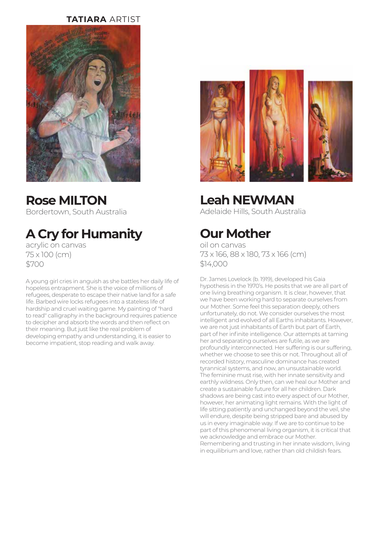#### **TATIARA** ARTIST



**Rose MILTON** Bordertown, South Australia

## **A Cry for Humanity**

acrylic on canvas 75 x 100 (cm) \$700

A young girl cries in anguish as she battles her daily life of hopeless entrapment. She is the voice of millions of refugees, desperate to escape their native land for a safe life. Barbed wire locks refugees into a stateless life of hardship and cruel waiting game. My painting of "hard to read" calligraphy in the background requires patience to decipher and absorb the words and then reflect on their meaning. But just like the real problem of developing empathy and understanding, it is easier to become impatient, stop reading and walk away.



## **Leah NEWMAN**

Adelaide Hills, South Australia

### **Our Mother**

oil on canvas 73 x 166, 88 x 180, 73 x 166 (cm) \$14,000

Dr. James Lovelock (b. 1919), developed his Gaia hypothesis in the 1970's. He posits that we are all part of one living breathing organism. It is clear, however, that we have been working hard to separate ourselves from our Mother. Some feel this separation deeply, others unfortunately, do not. We consider ourselves the most intelligent and evolved of all Earths inhabitants. However, we are not just inhabitants of Earth but part of Earth, part of her infinite intelligence. Our attempts at taming her and separating ourselves are futile, as we are profoundly interconnected. Her suffering is our suffering, whether we choose to see this or not. Throughout all of recorded history, masculine dominance has created tyrannical systems, and now, an unsustainable world. The feminine must rise, with her innate sensitivity and earthly wildness. Only then, can we heal our Mother and create a sustainable future for all her children. Dark shadows are being cast into every aspect of our Mother, however, her animating light remains. With the light of life sitting patiently and unchanged beyond the veil, she will endure, despite being stripped bare and abused by us in every imaginable way. If we are to continue to be part of this phenomenal living organism, it is critical that we acknowledge and embrace our Mother. Remembering and trusting in her innate wisdom, living in equilibrium and love, rather than old childish fears.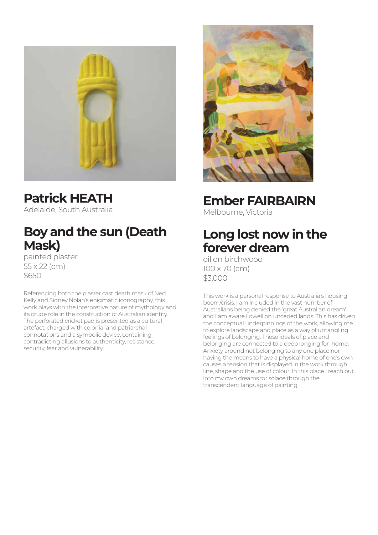

**Patrick HEATH** Adelaide, South Australia

### **Boy and the sun (Death Mask)**

painted plaster 55 x 22 (cm) \$650

Referencing both the plaster cast death mask of Ned Kelly and Sidney Nolan's enigmatic iconography, this work plays with the interpretive nature of mythology and its crude role in the construction of Australian identity. The perforated cricket pad is presented as a cultural artefact, charged with colonial and patriarchal connotations and a symbolic device, containing contradicting allusions to authenticity, resistance, security, fear and vulnerability.



**Ember FAIRBAIRN**

Melbourne, Victoria

### **Long lost now in the forever dream**

oil on birchwood 100 x 70 (cm) \$3,000

This work is a personal response to Australia's housing boom/crisis. I am included in the vast number of Australians being denied the 'great Australian dream' and I am aware I dwell on unceded lands. This has driven the conceptual underpinnings of the work, allowing me to explore landscape and place as a way of untangling feelings of belonging. These ideals of place and belonging are connected to a deep longing for home. Anxiety around not belonging to any one place nor having the means to have a physical home of one's own causes a tension that is displayed in the work through line, shape and the use of colour. In this place I reach out into my own dreams for solace through the transcendent language of painting.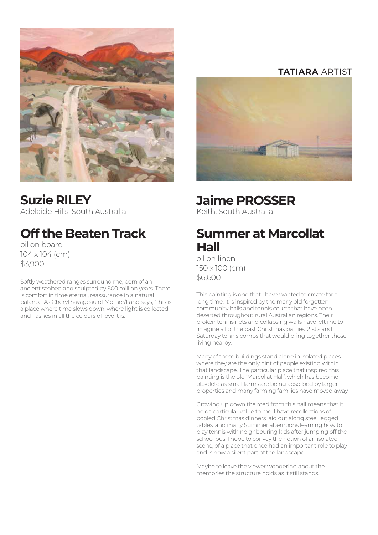

**Suzie RILEY** Adelaide Hills, South Australia

## **Off the Beaten Track**

oil on board 104 x 104 (cm) \$3,900

Softly weathered ranges surround me, born of an ancient seabed and sculpted by 600 million years. There is comfort in time eternal, reassurance in a natural balance. As Cheryl Savageau of Mother/Land says, "this is a place where time slows down, where light is collected and flashes in all the colours of love it is.

#### **TATIARA** ARTIST



### **Jaime PROSSER**

Keith, South Australia

### **Summer at Marcollat Hall**

oil on linen 150 x 100 (cm) \$6,600

This painting is one that I have wanted to create for a long time. It is inspired by the many old forgotten community halls and tennis courts that have been deserted throughout rural Australian regions. Their broken tennis nets and collapsing walls have left me to imagine all of the past Christmas parties, 21st's and Saturday tennis comps that would bring together those living nearby.

Many of these buildings stand alone in isolated places where they are the only hint of people existing within that landscape. The particular place that inspired this painting is the old 'Marcollat Hall', which has become obsolete as small farms are being absorbed by larger properties and many farming families have moved away.

Growing up down the road from this hall means that it holds particular value to me. I have recollections of pooled Christmas dinners laid out along steel legged tables, and many Summer afternoons learning how to play tennis with neighbouring kids after jumping off the school bus. I hope to convey the notion of an isolated scene, of a place that once had an important role to play and is now a silent part of the landscape.

Maybe to leave the viewer wondering about the memories the structure holds as it still stands.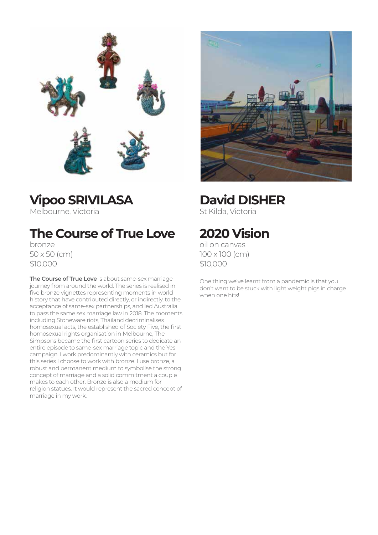

**Vipoo SRIVILASA**

Melbourne, Victoria

## **The Course of True Love**

bronze 50 x 50 (cm) \$10,000

**The Course of True Love** is about same-sex marriage journey from around the world. The series is realised in five bronze vignettes representing moments in world history that have contributed directly, or indirectly, to the acceptance of same-sex partnerships, and led Australia to pass the same sex marriage law in 2018. The moments including Stoneware riots, Thailand decriminalises homosexual acts, the established of Society Five, the first homosexual rights organisation in Melbourne, The Simpsons became the first cartoon series to dedicate an entire episode to same-sex marriage topic and the Yes campaign. I work predominantly with ceramics but for this series I choose to work with bronze. I use bronze, a robust and permanent medium to symbolise the strong concept of marriage and a solid commitment a couple makes to each other. Bronze is also a medium for religion statues. It would represent the sacred concept of marriage in my work.



## **David DISHER**

St Kilda, Victoria

## **2020 Vision**

oil on canvas 100 x 100 (cm) \$10,000

One thing we've learnt from a pandemic is that you don't want to be stuck with light weight pigs in charge when one hits!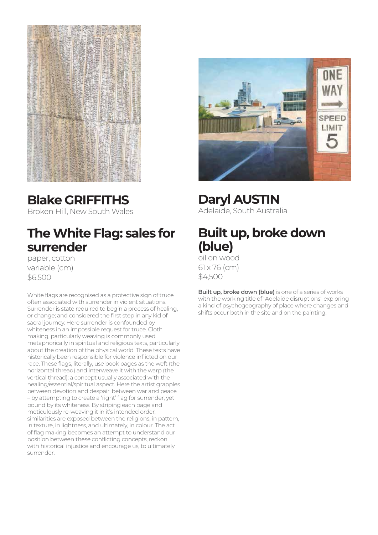

### **Blake GRIFFITHS**

Broken Hill, New South Wales

### **The White Flag: sales for surrender**

paper, cotton variable (cm) \$6,500

White flags are recognised as a protective sign of truce often associated with surrender in violent situations. Surrender is state required to begin a process of healing, or change; and considered the first step in any kid of sacral journey. Here surrender is confounded by whiteness in an impossible request for truce. Cloth making, particularly weaving is commonly used metaphorically in spiritual and religious texts, particularly about the creation of the physical world. These texts have historically been responsible for violence inflicted on our race. These flags, literally, use book pages as the weft (the horizontal thread) and interweave it with the warp (the vertical thread); a concept usually associated with the healing/essential/spiritual aspect. Here the artist grapples between devotion and despair, between war and peace – by attempting to create a 'right' flag for surrender, yet bound by its whiteness. By striping each page and meticulously re-weaving it in it's intended order, similarities are exposed between the religions, in pattern, in texture, in lightness, and ultimately, in colour. The act of flag making becomes an attempt to understand our position between these conflicting concepts, reckon with historical injustice and encourage us, to ultimately surrender.



**Daryl AUSTIN** Adelaide, South Australia

### **Built up, broke down (blue)**

oil on wood 61 x 76 (cm) \$4,500

**Built up, broke down (blue)** is one of a series of works with the working title of "Adelaide disruptions" exploring a kind of psychogeography of place where changes and shifts occur both in the site and on the painting.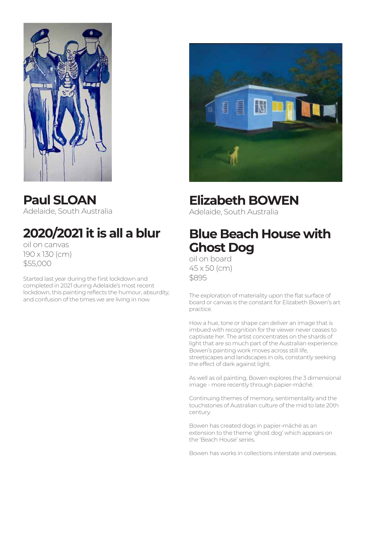

**Paul SLOAN** Adelaide, South Australia

## **2020/2021 it is all a blur**

oil on canvas 190 x 130 (cm) \$55,000

Started last year during the first lockdown and completed in 2021 during Adelaide's most recent lockdown, this painting reflects the humour, absurdity, and confusion of the times we are living in now.



### **Elizabeth BOWEN**

Adelaide, South Australia

### **Blue Beach House with Ghost Dog**

oil on board 45 x 50 (cm) \$895

The exploration of materiality upon the flat surface of board or canvas is the constant for Elizabeth Bowen's art practice.

How a hue, tone or shape can deliver an image that is imbued with recognition for the viewer never ceases to captivate her. The artist concentrates on the shards of light that are so much part of the Australian experience. Bowen's painting work moves across still life, streetscapes and landscapes in oils, constantly seeking the effect of dark against light.

As well as oil painting, Bowen explores the 3 dimensional image - more recently through papier-mâché.

Continuing themes of memory, sentimentality and the touchstones of Australian culture of the mid to late 20th century.

Bowen has created dogs in papier-mâché as an extension to the theme 'ghost dog' which appears on the 'Beach House' series.

Bowen has works in collections interstate and overseas.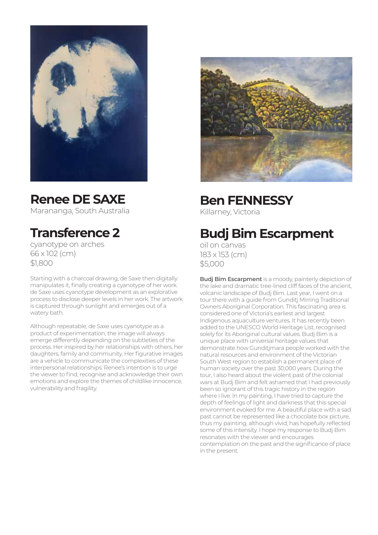

## **Renee DE SAXE**

Marananga, South Australia

## **Transference 2**

cyanotype on arches 66 x 102 (cm) \$1,800

Starting with a charcoal drawing, de Saxe then digitally manipulates it, finally creating a cyanotype of her work. de Saxe uses cyanotype development as an explorative process to disclose deeper levels in her work. The artwork is captured through sunlight and emerges out of a watery bath.

Although repeatable, de Saxe uses cyanotype as a product of experimentation, the image will always emerge differently depending on the subtleties of the process. Her inspired by her relationships with others, her daughters, family and community. Her figurative images are a vehicle to communicate the complexities of these interpersonal relationships. Renee's intention is to urge the viewer to find, recognise and acknowledge their own emotions and explore the themes of childlike innocence, vulnerability and fragility.



**Ben FENNESSY** Killarney, Victoria

## **Budj Bim Escarpment**

oil on canvas 183 x 153 (cm) \$5,000

**Budj Bim Escarpment** is a moody, painterly depiction of the lake and dramatic tree-lined cliff faces of the ancient, volcanic landscape of Budj Bim. Last year, I went on a tour there with a guide from Gunditj Mirring Traditional Owners Aboriginal Corporation. This fascinating area is considered one of Victoria's earliest and largest Indigenous aquaculture ventures. It has recently been added to the UNESCO World Heritage List, recognised solely for its Aboriginal cultural values. Budj Bim is a unique place with universal heritage values that demonstrate how Gunditimara people worked with the natural resources and environment of the Victorian South West region to establish a permanent place of human society over the past 30,000 years. During the tour, I also heard about the violent past of the colonial wars at Budj Bim and felt ashamed that I had previously been so ignorant of this tragic history in the region where I live. In my painting, I have tried to capture the depth of feelings of light and darkness that this special environment evoked for me. A beautiful place with a sad past cannot be represented like a chocolate box picture, thus my painting, although vivid, has hopefully reflected some of this intensity. I hope my response to Budj Bim resonates with the viewer and encourages contemplation on the past and the significance of place in the present.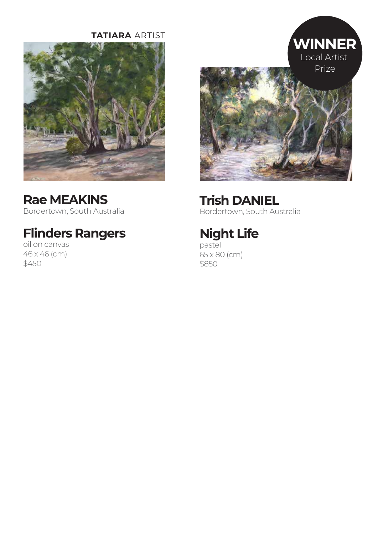#### **TATIARA** ARTIST



### **Rae MEAKINS**

Bordertown, South Australia

## **Flinders Rangers**

oil on canvas 46 x 46 (cm) \$450



**Trish DANIEL** Bordertown, South Australia

## **Night Life**

pastel 65 x 80 (cm) \$850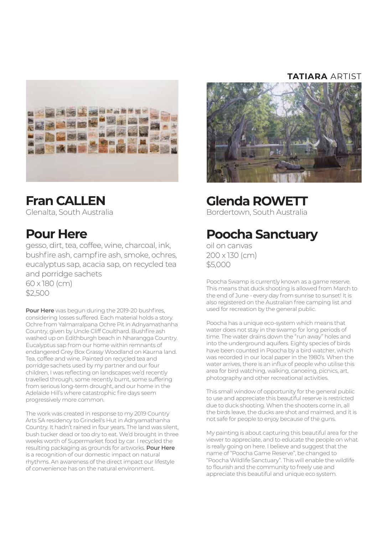

### **Fran CALLEN**

Glenalta, South Australia

### **Pour Here**

gesso, dirt, tea, coffee, wine, charcoal, ink, bushfire ash, campfire ash, smoke, ochres, eucalyptus sap, acacia sap, on recycled tea and porridge sachets 60 x 180 (cm)

\$2,500

**Pour Here** was begun during the 2019-20 bushfires, considering losses suffered. Each material holds a story. Ochre from Yalmarralpana Ochre Pit in Adnyamathanha Country, given by Uncle Cliff Coulthard. Bushfire ash washed up on Edithburgh beach in Nharangga Country. Eucalyptus sap from our home within remnants of endangered Grey Box Grassy Woodland on Kaurna land. Tea, coffee and wine. Painted on recycled tea and porridge sachets used by my partner and our four children, I was reflecting on landscapes we'd recently travelled through, some recently burnt, some suffering from serious long-term drought, and our home in the Adelaide Hill's where catastrophic fire days seem progressively more common.

The work was created in response to my 2019 Country Arts SA residency to Grindell's Hut in Adnyamathanha Country. It hadn't rained in four years. The land was silent, bush tucker dead or too dry to eat. We'd brought in three weeks worth of Supermarket food by car. I recycled the resulting packaging as grounds for artworks. **Pour Here** is a recognition of our domestic impact on natural rhythms. An awareness of the direct impact our lifestyle of convenience has on the natural environment.

#### **TATIARA** ARTIST



### **Glenda ROWETT**

Bordertown, South Australia

### **Poocha Sanctuary**

oil on canvas 200 x 130 (cm) \$5,000

Poocha Swamp is currently known as a game reserve. This means that duck shooting is allowed from March to the end of June - every day from sunrise to sunset! It is also registered on the Australian free camping list and used for recreation by the general public.

Poocha has a unique eco-system which means that water does not stay in the swamp for long periods of time. The water drains down the "run away" holes and into the underground aquifers. Eighty species of birds have been counted in Poocha by a bird watcher, which was recorded in our local paper in the 1980's. When the water arrives, there is an influx of people who utilise this area for bird watching, walking, canoeing, picnics, art, photography and other recreational activities.

This small window of opportunity for the general public to use and appreciate this beautiful reserve is restricted due to duck shooting. When the shooters come in, all the birds leave, the ducks are shot and maimed, and it is not safe for people to enjoy because of the guns.

My painting is about capturing this beautiful area for the viewer to appreciate, and to educate the people on what is really going on here. I believe and suggest that the name of "Poocha Game Reserve", be changed to "Poocha Wildlife Sanctuary". This will enable the wildlife to flourish and the community to freely use and appreciate this beautiful and unique eco system.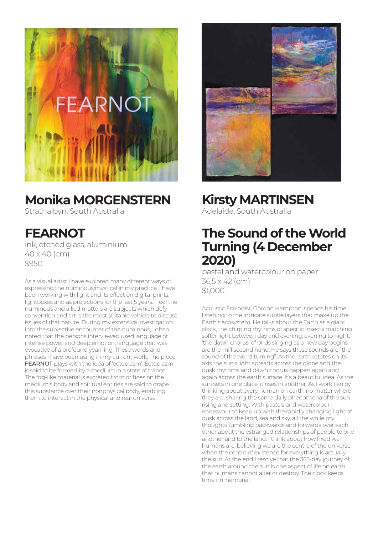

### **Monika MORGENSTERN**

Strathalbyn, South Australia

**FEARNOT** ink, etched glass, aluminium 40 x 40 (cm) \$950

As a visual artist I have explored many different ways of expressing the numinous/mystical in my practice. I have been working with light and its effect on digital prints, lightboxes and as projections for the last 5 years. I feel the numinous and allied matters are subjects which defy convention and art is the most suitable vehicle to discuss issues of that nature. During my extensive investigation into the subjective encounter of the numinous, I often noted that the persons interviewed used language of intense power and deep emotion; language that was evocative of a profound yearning. These words and phrases I have been using in my current work. The piece **FEARNOT** plays with the idea of 'ectoplasm'. Ectoplasm is said to be formed by a medium in a state of trance. The fog-like material is excreted from orifices on the medium's body and spiritual entities are said to drape this substance over their nonphysical body, enabling them to interact in the physical and real universe.



## **Kirsty MARTINSEN**

Adelaide, South Australia

### **The Sound of the World Turning (4 December 2020)**

pastel and watercolour on paper 36.5 x 42 (cm) \$1,000

Acoustic Ecologist, Gordon Hampton, spends his time listening to the intricate subtle layers that make up the Earth's ecosystem. He talks about the Earth as a giant clock, the chirping rhythms of specific insects matching softer light between day and evening, evening to night, 'the dawn chorus' of birds singing as a new day begins, are the millisecond hand. He says these sounds are "the sound of the world turning". As the earth rotates on its axis the sun's light spreads across the globe and the dusk rhythms and dawn chorus happen again and again across the earth surface. It's a beautiful idea. As the sun sets in one place, it rises in another. As I work I enjoy thinking about every human on earth, no matter where they are, sharing the same daily phenomena of the sun rising and setting. With pastels and watercolour I endeavour to keep up with the rapidly changing light of dusk across the land, sea and sky, all the while my thoughts tumbling backwards and forwards over each other about the estranged relationships of people to one another and to the land. I think about how fixed we humans are, believing we are the centre of the universe, when the centre of existence for everything is actually the sun. At the end I resolve that the 365-day journey of the earth around the sun is one aspect of life on earth that humans cannot alter or destroy. The clock keeps time immemorial.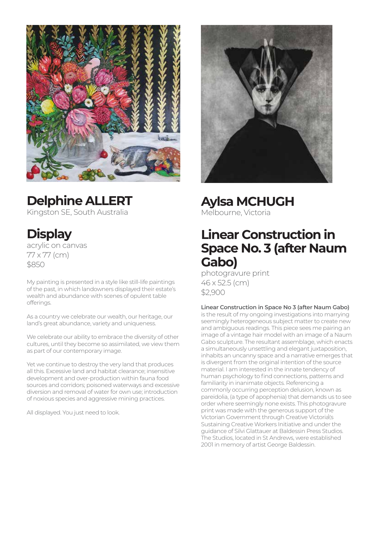

## **Delphine ALLERT**

Kingston SE, South Australia

**Display**

acrylic on canvas 77 x 77 (cm) \$850

My painting is presented in a style like still-life paintings of the past, in which landowners displayed their estate's wealth and abundance with scenes of opulent table offerings.

As a country we celebrate our wealth, our heritage, our land's great abundance, variety and uniqueness.

We celebrate our ability to embrace the diversity of other cultures, until they become so assimilated, we view them as part of our contemporary image.

Yet we continue to destroy the very land that produces all this. Excessive land and habitat clearance; insensitive development and over-production within fauna food sources and corridors; poisoned waterways and excessive diversion and removal of water for own use; introduction of noxious species and aggressive mining practices.

All displayed. You just need to look.



**Aylsa MCHUGH**

Melbourne, Victoria

### **Linear Construction in Space No. 3 (after Naum Gabo)**

photogravure print 46 x 52.5 (cm) \$2,900

#### **Linear Construction in Space No 3 (after Naum Gabo)**

is the result of my ongoing investigations into marrying seemingly heterogeneous subject matter to create new and ambiguous readings. This piece sees me pairing an image of a vintage hair model with an image of a Naum Gabo sculpture. The resultant assemblage, which enacts a simultaneously unsettling and elegant juxtaposition, inhabits an uncanny space and a narrative emerges that is divergent from the original intention of the source material. I am interested in the innate tendency of human psychology to find connections, patterns and familiarity in inanimate objects. Referencing a commonly occurring perception delusion, known as pareidolia, (a type of apophenia) that demands us to see order where seemingly none exists. This photogravure print was made with the generous support of the .<br>Victorian Government through Creative Victoria\'s Sustaining Creative Workers Initiative and under the guidance of Silvi Glattauer at Baldessin Press Studios. The Studios, located in St Andrews, were established 2001 in memory of artist George Baldessin.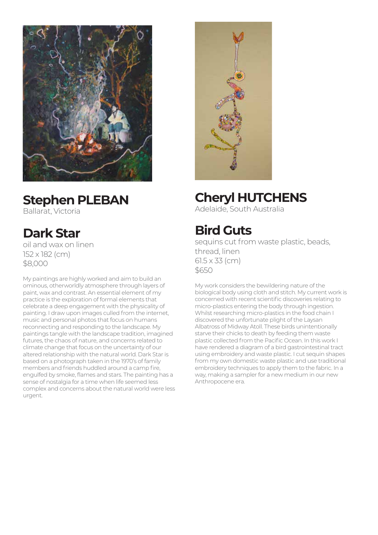

### **Stephen PLEBAN**

Ballarat, Victoria

## **Dark Star**

oil and wax on linen 152 x 182 (cm) \$8,000

My paintings are highly worked and aim to build an ominous, otherworldly atmosphere through layers of paint, wax and contrast. An essential element of my practice is the exploration of formal elements that celebrate a deep engagement with the physicality of painting. I draw upon images culled from the internet, music and personal photos that focus on humans reconnecting and responding to the landscape. My paintings tangle with the landscape tradition, imagined futures, the chaos of nature, and concerns related to climate change that focus on the uncertainty of our altered relationship with the natural world. Dark Star is based on a photograph taken in the 1970's of family members and friends huddled around a camp fire, engulfed by smoke, flames and stars. The painting has a sense of nostalgia for a time when life seemed less complex and concerns about the natural world were less urgent.



## **Cheryl HUTCHENS**

Adelaide, South Australia

## **Bird Guts**

sequins cut from waste plastic, beads, thread, linen 61.5 x 33 (cm) \$650

My work considers the bewildering nature of the biological body using cloth and stitch. My current work is concerned with recent scientific discoveries relating to micro-plastics entering the body through ingestion. Whilst researching micro-plastics in the food chain I discovered the unfortunate plight of the Laysan Albatross of Midway Atoll. These birds unintentionally starve their chicks to death by feeding them waste plastic collected from the Pacific Ocean. In this work I have rendered a diagram of a bird gastrointestinal tract using embroidery and waste plastic. I cut sequin shapes from my own domestic waste plastic and use traditional embroidery techniques to apply them to the fabric. In a way, making a sampler for a new medium in our new Anthropocene era.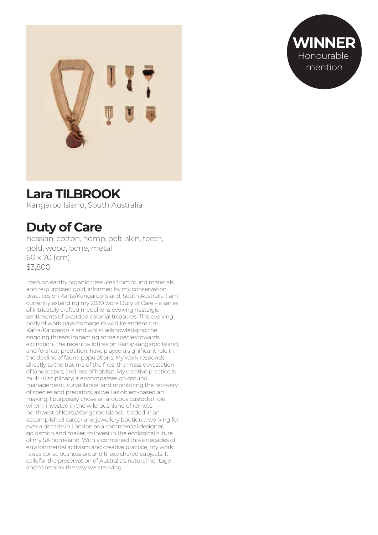



### **Lara TILBROOK**

Kangaroo Island, South Australia

### **Duty of Care**

hessian, cotton, hemp, pelt, skin, teeth, gold, wood, bone, metal 60 x 70 (cm) \$3,800

I fashion earthy organic treasures from found materials and re-purposed gold, informed by my conservation practices on Karta/Kangaroo Island, South Australia. I am currently extending my 2020 work Duty of Care – a series of intricately crafted medallions evoking nostalgic sentiments of awarded colonial treasures. This evolving body of work pays homage to wildlife endemic to Karta/Kangaroo Island whilst acknowledging the ongoing threats impacting some species towards extinction. The recent wildfires on Karta/Kangaroo Island, and feral cat predation, have played a significant role in the decline of fauna populations. My work responds directly to the trauma of the fires, the mass devastation of landscapes, and loss of habitat. My creative practice is multi-disciplinary; it encompasses on ground management, surveillance, and monitoring the recovery of species and predators, as well as object-based art making. I purposely chose an arduous custodial role when I invested in the wild bushland of remote northwest of Karta/Kangaroo Island. I traded in an accomplished career and jewellery boutique, working for over a decade in London as a commercial designer, goldsmith and maker, to invest in the ecological future of my SA homeland. With a combined three decades of environmental activism and creative practice, my work raises consciousness around these shared subjects. It calls for the preservation of Australia's natural heritage and to rethink the way we are living.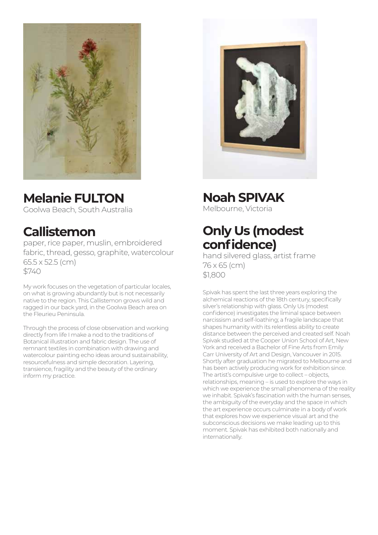

## **Melanie FULTON**

Goolwa Beach, South Australia

### **Callistemon**

paper, rice paper, muslin, embroidered fabric, thread, gesso, graphite, watercolour 65.5 x 52.5 (cm) \$740

My work focuses on the vegetation of particular locales, on what is growing abundantly but is not necessarily native to the region. This Callistemon grows wild and ragged in our back yard, in the Goolwa Beach area on the Fleurieu Peninsula.

Through the process of close observation and working directly from life I make a nod to the traditions of Botanical illustration and fabric design. The use of remnant textiles in combination with drawing and watercolour painting echo ideas around sustainability, resourcefulness and simple decoration. Layering, transience, fragility and the beauty of the ordinary inform my practice.



**Noah SPIVAK**

Melbourne, Victoria

### **Only Us (modest confidence)**

hand silvered glass, artist frame 76 x 65 (cm) \$1,800

Spivak has spent the last three years exploring the alchemical reactions of the 18th century, specifically silver's relationship with glass. Only Us (modest confidence) investigates the liminal space between narcissism and self-loathing; a fragile landscape that shapes humanity with its relentless ability to create distance between the perceived and created self. Noah Spivak studied at the Cooper Union School of Art, New York and received a Bachelor of Fine Arts from Emily Carr University of Art and Design, Vancouver in 2015. Shortly after graduation he migrated to Melbourne and has been actively producing work for exhibition since. The artist's compulsive urge to collect – objects, relationships, meaning – is used to explore the ways in which we experience the small phenomena of the reality we inhabit. Spivak's fascination with the human senses, the ambiguity of the everyday and the space in which the art experience occurs culminate in a body of work that explores how we experience visual art and the subconscious decisions we make leading up to this moment. Spivak has exhibited both nationally and internationally.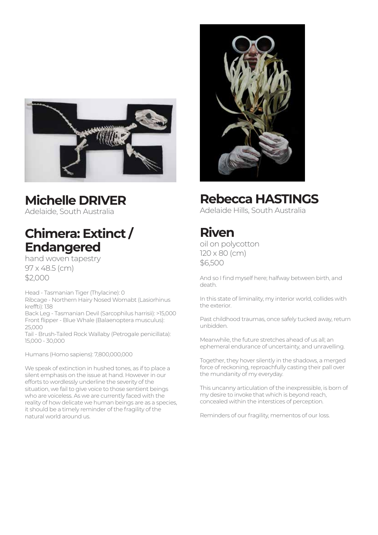

### **Michelle DRIVER**

Adelaide, South Australia

### **Chimera: Extinct / Endangered**

hand woven tapestry 97 x 48.5 (cm) \$2,000

Head - Tasmanian Tiger (Thylacine): 0 Ribcage - Northern Hairy Nosed Womabt (Lasiorhinus kreffti): 138

Back Leg - Tasmanian Devil (Sarcophilus harrisii): >15,000 Front flipper - Blue Whale (Balaenoptera musculus): 25,000

Tail - Brush-Tailed Rock Wallaby (Petrogale penicillata): 15,000 - 30,000

Humans (Homo sapiens): 7,800,000,000

We speak of extinction in hushed tones, as if to place a silent emphasis on the issue at hand. However in our efforts to wordlessly underline the severity of the situation, we fail to give voice to those sentient beings who are voiceless. As we are currently faced with the reality of how delicate we human beings are as a species, it should be a timely reminder of the fragility of the natural world around us.



### **Rebecca HASTINGS**

Adelaide Hills, South Australia

### **Riven**

oil on polycotton 120 x 80 (cm) \$6,500

And so I find myself here; halfway between birth, and death.

In this state of liminality, my interior world, collides with the exterior.

Past childhood traumas, once safely tucked away, return unbidden.

Meanwhile, the future stretches ahead of us all; an ephemeral endurance of uncertainty, and unravelling.

Together, they hover silently in the shadows, a merged force of reckoning, reproachfully casting their pall over the mundanity of my everyday.

This uncanny articulation of the inexpressible, is born of my desire to invoke that which is beyond reach, concealed within the interstices of perception.

Reminders of our fragility, mementos of our loss.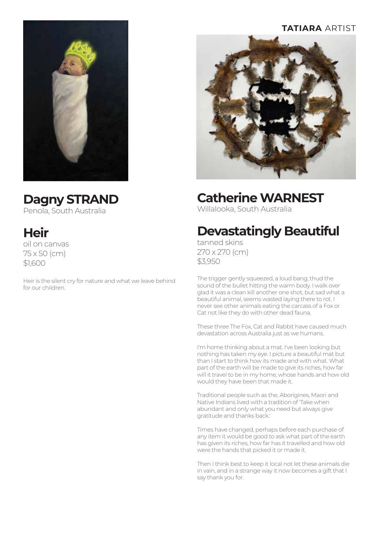#### **TATIARA** ARTIST



### **Catherine WARNEST**

Willalooka, South Australia

## **Devastatingly Beautiful**

tanned skins 270 x 270 (cm) \$3,950

The trigger gently squeezed, a loud bang, thud the sound of the bullet hitting the warm body. I walk over glad it was a clean kill another one shot, but sad what a beautiful animal, seems wasted laying there to rot. I never see other animals eating the carcass of a Fox or Cat not like they do with other dead fauna.

These three The Fox, Cat and Rabbit have caused much devastation across Australia just as we humans.

I'm home thinking about a mat. I've been looking but nothing has taken my eye. I picture a beautiful mat but than I start to think how its made and with what. What part of the earth will be made to give its riches, how far will it travel to be in my home, whose hands and how old would they have been that made it.

Traditional people such as the, Aborigines, Maori and Native Indians lived with a tradition of 'Take when abundant and only what you need but always give gratitude and thanks back.'

Times have changed, perhaps before each purchase of any item it would be good to ask what part of the earth has given its riches, how far has it travelled and how old were the hands that picked it or made it.

Then I think best to keep it local not let these animals die in vain, and in a strange way it now becomes a gift that I say thank you for.

### **Dagny STRAND**

Penola, South Australia

## **Heir**

oil on canvas 75 x 50 (cm) \$1,600

Heir is the silent cry for nature and what we leave behind for our children.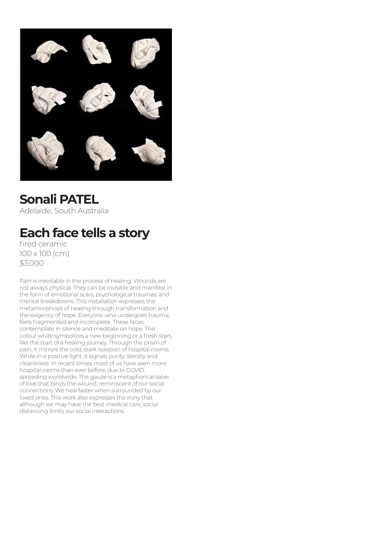

## **Sonali PATEL**

Adelaide, South Australia

## **Each face tells a story**

fired ceramic 100 x 100 (cm) \$3,000

Pain is inevitable in the process of healing. Wounds are not always physical. They can be invisible and manifest in the form of emotional scars, psychological traumas, and mental breakdowns. This installation expresses the metamorphosis of healing through transformation and the exigency of hope. Everyone who undergoes trauma, feels fragmented and incomplete. These faces contemplate in silence and meditate on hope. The colour white symbolizes a new beginning or a fresh start, like the start of a healing journey. Through the prism of pain, it mirrors the cold, stark isolation of hospital rooms. While in a positive light, it signals purity, sterility and cleanliness. In recent times, most of us have seen more hospital rooms than ever before, due to COVID spreading worldwide. The gauze is a metaphorical salve of love that binds the wound, reminiscent of our social connections. We heal faster when surrounded by our loved ones. This work also expresses the irony that although we may have the best medical care, social distancing limits our social interactions.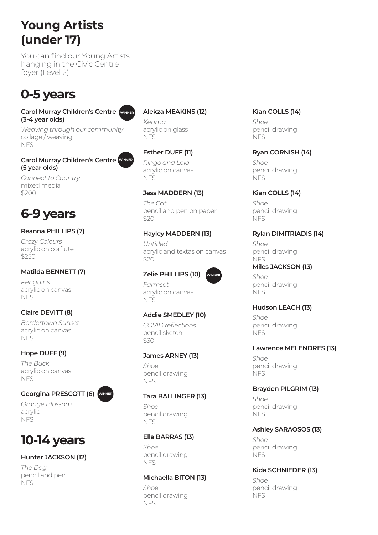### **Young Artists (under 17)**

You can find our Young Artists hanging in the Civic Centre foyer (Level 2)

### **0-5 years**

#### **Carol Murray Children's Centre WINNER (3-4 year olds)**

*Weaving through our community* collage / weaving NFS

#### **Carol Murray Children's Centre WINNER (5 year olds)**

*Connect to Country* mixed media \$200

## **6-9 years**

#### **Reanna PHILLIPS (7)**

*Crazy Colours* acrylic on corflute \$250

#### **Matilda BENNETT (7)**

*Penguins* acrylic on canvas NFS

#### **Claire DEVITT (8)**

*Bordertown Sunset* acrylic on canvas **NFS** 

#### **Hope DUFF (9)**

*The Buck* acrylic on canvas **NFS** 

#### **Georgina PRESCOTT (6)**

**WINNER**

*Orange Blossom* acrylic NFS

### **10-14 years**

#### **Hunter JACKSON (12)**

*The Dog* pencil and pen NFS

#### **Alekza MEAKINS (12)**

*Kenma* acrylic on glass NFS

#### **Esther DUFF (11)**

*Ringo and Lola* acrylic on canvas NFS

#### **Jess MADDERN (13)**

*The Cat* pencil and pen on paper \$20

#### **Hayley MADDERN (13)**

*Untitled* acrylic and textas on canvas \$20

#### **Zelie PHILLIPS (10)**



*Farmset* acrylic on canvas NFS

#### **Addie SMEDLEY (10)**

*COVID reflections* pencil sketch \$30

#### **James ARNEY (13)**

*Shoe* pencil drawing NFS

#### **Tara BALLINGER (13)**

*Shoe* pencil drawing NFS

#### **Ella BARRAS (13)**

*Shoe* pencil drawing NFS

#### **Michaella BITON (13)**

*Shoe* pencil drawing **NFS** 

#### **Kian COLLS (14)**

*Shoe* pencil drawing NFS

#### **Ryan CORNISH (14)**

*Shoe* pencil drawing NFS

#### **Kian COLLS (14)**

*Shoe* pencil drawing NFS

#### **Rylan DIMITRIADIS (14)**

*Shoe* pencil drawing NFS

#### **Miles JACKSON (13)**

*Shoe* pencil drawing NFS

#### **Hudson LEACH (13)**

*Shoe* pencil drawing NFS

#### **Lawrence MELENDRES (13)**

*Shoe* pencil drawing NFS

#### **Brayden PILGRIM (13)**

*Shoe* pencil drawing NFS

#### **Ashley SARAOSOS (13)**

*Shoe* pencil drawing NFS

#### **Kida SCHNIEDER (13)**

*Shoe* pencil drawing NFS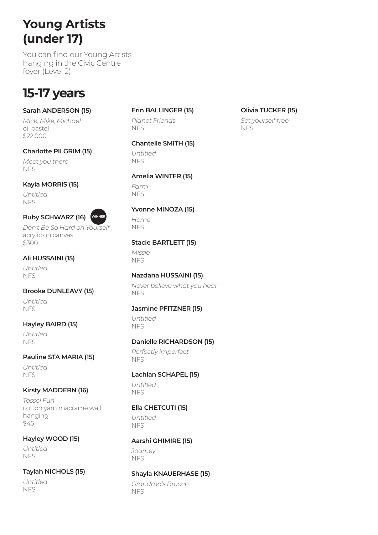### **Young Artists (under 17)**

You can find our Young Artists hanging in the Civic Centre foyer (Level 2)

### **15-17 years**

#### **Sarah ANDERSON (15)**

*Mick, Mike, Michael* oil pastel \$22,000

#### **Charlotte PILGRIM (15)**

*Meet you there* NFS

#### **Kayla MORRIS (15)**

**Ruby SCHWARZ (16)**

*Untitled* NFS



*Don't Be So Hard on Yourself* acrylic on canvas \$300

#### **Ali HUSSAINI (15)**

*Untitled* **NFS** 

### **Brooke DUNLEAVY (15)**

*Untitled* NFS

#### **Hayley BAIRD (15)**

*Untitled* NFS

#### **Pauline STA MARIA (15)**

*Untitled* NFS

#### **Kirsty MADDERN (16)**

*Tassel Fun* cotton yarn macrame wall hanging \$45

#### **Hayley WOOD (15)**

*Untitled* **NFS** 

#### **Taylah NICHOLS (15)**

*Untitled* NFS

#### **Erin BALLINGER (15)**

*Planet Friends* **NFS** 

#### **Chantelle SMITH (15)**

*Untitled* NFS

#### **Amelia WINTER (15)**

*Farm* NFS

#### **Yvonne MINOZA (15)**

*Home* NFS

#### **Stacie BARTLETT (15)**

*Missie* NFS

#### **Nazdana HUSSAINI (15)**

*Never believe what you hear* NFS

#### **Jasmine PFITZNER (15)**

*Untitled* NFS

#### **Danielle RICHARDSON (15)**

*Perfectly imperfect* NFS

#### **Lachlan SCHAPEL (15)**

*Untitled* NFS

#### **Ella CHETCUTI (15)**

*Untitled* NFS

#### **Aarshi GHIMIRE (15)**

*Journey* NFS

#### **Shayla KNAUERHASE (15)**

*Grandma's Brooch* NFS

#### **Olivia TUCKER (15)**

*Set yourself free* NFS